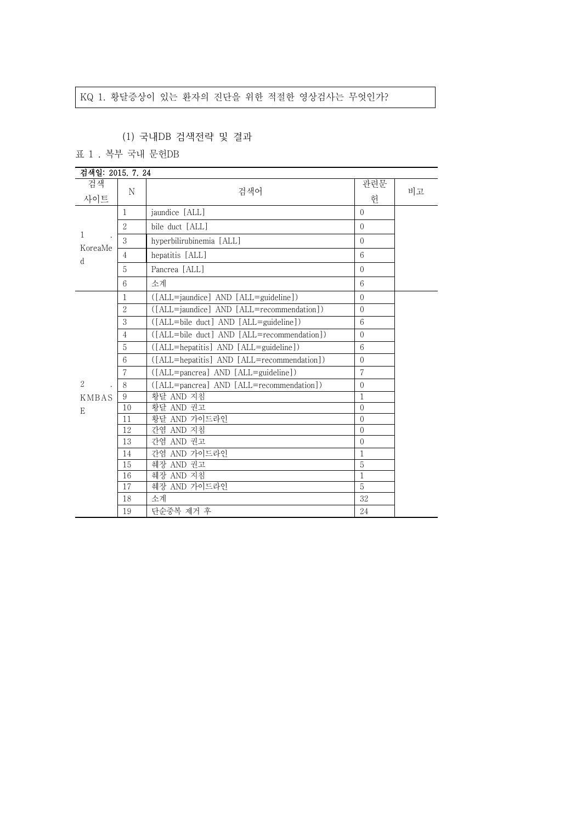## KQ 1. 황달증상이 있는 환자의 진단을 위한 적절한 영상검사는 무엇인가?

## (1) 국내DB 검색전략 및 결과

표 1 . 복부 국내 문헌DB

| 검색일: 2015. 7. 24 |                 |                                              |              |    |
|------------------|-----------------|----------------------------------------------|--------------|----|
| 검색               |                 |                                              | 관련문          | 비고 |
| 사이트              | N               | 검색어                                          | 허            |    |
| 1                | $\mathbf{1}$    | jaundice [ALL]                               | $\Omega$     |    |
|                  | $\overline{2}$  | bile duct [ALL]                              | $\Omega$     |    |
|                  | 3               | hyperbilirubinemia [ALL]                     | $\Omega$     |    |
| KoreaMe<br>d     | $\overline{4}$  | hepatitis [ALL]                              | 6            |    |
|                  | 5               | Pancrea [ALL]                                | $\Omega$     |    |
|                  | 6               | 소계                                           | 6            |    |
|                  | 1               | ([ALL=jaundice] AND [ALL=guideline])         | $\Omega$     |    |
|                  | $\overline{2}$  | ([ALL=jaundice] AND [ALL=recommendation])    | $\Omega$     |    |
|                  | 3               | ([ALL=bile duct] AND [ALL=guideline])        | 6            |    |
|                  | $\overline{4}$  | ([ALL=bile duct] AND [ALL=recommendation])   | $\Omega$     |    |
|                  | 5               | $([ALL = hepatitis] AND [ALL = guide line])$ | 6            |    |
|                  | $6\overline{6}$ | ([ALL=hepatitis] AND [ALL=recommendation])   | $\Omega$     |    |
|                  | 7               | ([ALL=pancrea] AND [ALL=guideline])          | 7            |    |
| 2                | 8               | ([ALL=pancrea] AND [ALL=recommendation])     | $\Omega$     |    |
| <b>KMBAS</b>     | 9               | 황달 AND 지침                                    | $\mathbf{1}$ |    |
| E                | 10              | 황달 AND 권고                                    | $\Omega$     |    |
|                  | 11              | 황달 AND 가이드라인                                 | $\Omega$     |    |
|                  | 12              | 간염 AND 지침                                    | $\Omega$     |    |
|                  | 13              | 간염 AND 권고                                    | $\Omega$     |    |
|                  | 14              | 간염 AND 가이드라인                                 | $\mathbf{1}$ |    |
|                  | 15              | 췌장 AND 권고                                    | 5            |    |
|                  | 16              | 췌장 AND 지침                                    | $\mathbf{1}$ |    |
|                  | 17              | 췌장 AND 가이드라인                                 | 5            |    |
|                  | 18              | 소계                                           | 32           |    |
|                  | 19              | 단순중복 제거 후                                    | 24           |    |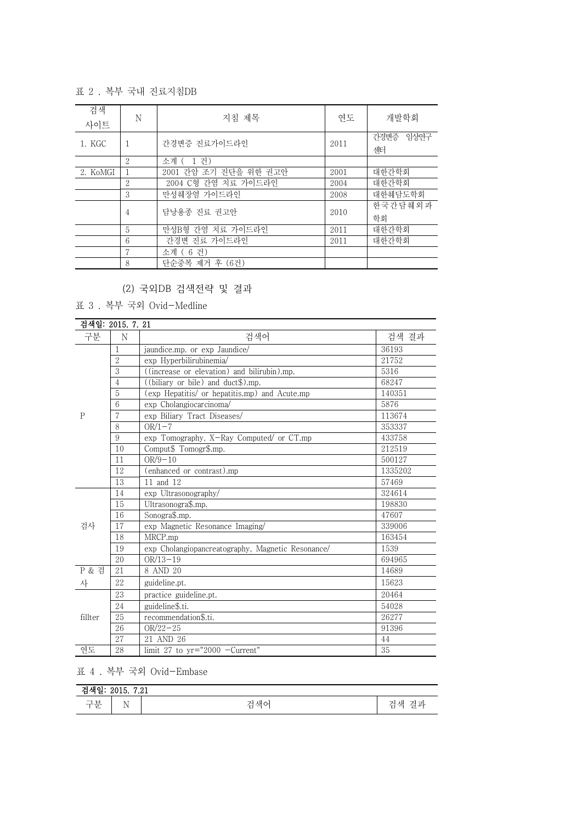표 2 . 복부 국내 진료지침DB

| 검색<br>사이트 | N               | 지침 제목                 | 연도   | 개발학회            |
|-----------|-----------------|-----------------------|------|-----------------|
| 1. KGC    |                 | 간경변증 진료가이드라인          | 2011 | 간경변증 임상연구<br>센터 |
|           | $\overline{2}$  | . 거 )<br>-1<br>소계 (   |      |                 |
| 2. KoMGI  |                 | 2001 간암 조기 진단을 위한 권고안 | 2001 | 대한가학회           |
|           | 2               | 2004 C형 간염 치료 가이드라인   | 2004 | 대한가학회           |
|           | 3               | 만성췌장염 가이드라인           | 2008 | 대한췌담도학회         |
|           | 4               | 담낭용종 진료 권고안           | 2010 | 하국가담췌외과<br>학회   |
|           | 5               | 만성B형 간염 치료 가이드라인      | 2011 | 대한간학회           |
|           | $6\overline{6}$ | 간경변 진료 가이드라인          | 2011 | 대한간학회           |
|           | 7               | 소계 (6 건)              |      |                 |
|           | 8               | 단순중복 제거 후 (6건)        |      |                 |

(2) 국외DB 검색전략 및 결과

표 3 . 복부 국외 Ovid-Medline

| 검색일: 2015. 7. 21 |                |                                                   |         |
|------------------|----------------|---------------------------------------------------|---------|
| 구분               | N              | 검색어                                               | 검색 결과   |
|                  | 1              | jaundice.mp. or exp Jaundice/                     | 36193   |
|                  | $\sqrt{2}$     | exp Hyperbilirubinemia/                           | 21752   |
|                  | 3              | ((increase or elevation) and bilirubin).mp.       | 5316    |
|                  | $\overline{4}$ | $($ (biliary or bile) and duct $\$\)$ .mp.        | 68247   |
|                  | $5\,$          | (exp Hepatitis/ or hepatitis.mp) and Acute.mp     | 140351  |
|                  | 6              | exp Cholangiocarcinoma/                           | 5876    |
| P                | 7              | exp Biliary Tract Diseases/                       | 113674  |
|                  | 8              | $OR/1-7$                                          | 353337  |
|                  | 9              | exp Tomography, X-Ray Computed/ or CT.mp          | 433758  |
|                  | 10             | Comput\$ Tomogr\$.mp.                             | 212519  |
|                  | 11             | $OR/9-10$                                         | 500127  |
|                  | 12             | (enhanced or contrast).mp                         | 1335202 |
|                  | 13             | 11 and 12                                         | 57469   |
|                  | 14             | exp Ultrasonography/                              | 324614  |
|                  | 15             | Ultrasonogra\$.mp.                                | 198830  |
|                  | 16             | Sonogra\$.mp.                                     | 47607   |
| 검사               | 17             | exp Magnetic Resonance Imaging/                   | 339006  |
|                  | 18             | MRCP.mp                                           | 163454  |
|                  | 19             | exp Cholangiopancreatography, Magnetic Resonance/ | 1539    |
|                  | 20             | $OR/13-19$                                        | 694965  |
| P & 검            | 21             | 8 AND 20                                          | 14689   |
| 사                | 22             | guideline.pt.                                     | 15623   |
|                  | 23             | practice guideline.pt.                            | 20464   |
|                  | 24             | guideline\$.ti.                                   | 54028   |
| fillter          | 25             | recommendation\$.ti.                              | 26277   |
|                  | 26             | $OR/22 - 25$                                      | 91396   |
|                  | 27             | 21 AND 26                                         | 44      |
| 연도               | 28             | limit 27 to $yr="2000$ -Current"                  | 35      |

표 4 . 복부 국외 Ovid-Embase

| $F^{\alpha}$<br>ᆚ<br>. AH 0.<br>.41<br>∼<br>ਦ<br>4010. |            |                                                |                                |
|--------------------------------------------------------|------------|------------------------------------------------|--------------------------------|
| $\rightarrow$ 13<br>كلام<br>乚                          | . .<br>T A | 새<br>$\mathcal{L}$<br>$\overline{\phantom{0}}$ | 색<br>$-1 -$<br>$-$<br>ᆮ<br>. . |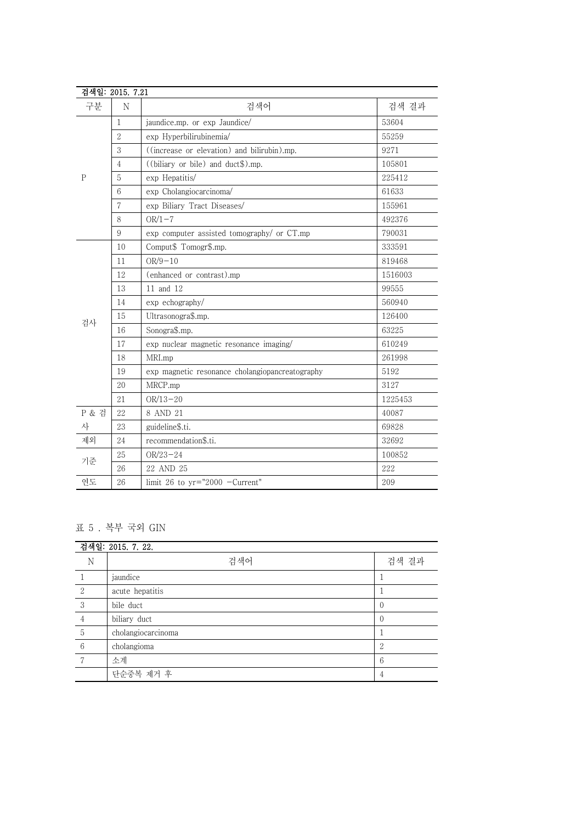| 검색일: 2015. 7.21 |                |                                                 |         |
|-----------------|----------------|-------------------------------------------------|---------|
| 구분              | $\rm N$        | 검색어                                             | 검색 결과   |
| $\mathbf{P}$    | $\mathbf{1}$   | jaundice.mp. or exp Jaundice/                   | 53604   |
|                 | $\overline{2}$ | exp Hyperbilirubinemia/                         | 55259   |
|                 | 3              | ((increase or elevation) and bilirubin).mp.     | 9271    |
|                 | $\overline{4}$ | ((biliary or bile) and duct\$).mp.              | 105801  |
|                 | 5              | exp Hepatitis/                                  | 225412  |
|                 | 6              | exp Cholangiocarcinoma/                         | 61633   |
|                 | $\overline{7}$ | exp Biliary Tract Diseases/                     | 155961  |
|                 | 8              | $OR/1-7$                                        | 492376  |
|                 | 9              | exp computer assisted tomography/ or CT.mp      | 790031  |
|                 | 10             | Comput\$ Tomogr\$.mp.                           | 333591  |
|                 | 11             | $OR/9 - 10$                                     | 819468  |
|                 | 12             | (enhanced or contrast).mp                       | 1516003 |
|                 | 13             | 11 and 12                                       | 99555   |
|                 | 14             | exp echography/                                 | 560940  |
| 검사              | 15             | Ultrasonogra\$.mp.                              | 126400  |
|                 | 16             | Sonogra\$.mp.                                   | 63225   |
|                 | 17             | exp nuclear magnetic resonance imaging/         | 610249  |
|                 | 18             | MRI.mp                                          | 261998  |
|                 | 19             | exp magnetic resonance cholangiopancreatography | 5192    |
|                 | 20             | MRCP.mp                                         | 3127    |
|                 | 21             | $OR/13 - 20$                                    | 1225453 |
| P & 검           | 22             | 8 AND 21                                        | 40087   |
| 사               | 23             | guideline\$.ti.                                 | 69828   |
| 제외              | 24             | recommendation\$.ti.                            | 32692   |
| 기준              | 25             | $OR/23 - 24$                                    | 100852  |
|                 | 26             | 22 AND 25                                       | 222     |
| 연도              | 26             | limit 26 to $yr="2000 -Current"$                | 209     |

## 표 5 . 복부 국외 GIN

| 검색일: 2015. 7. 22. |                    |                |  |
|-------------------|--------------------|----------------|--|
| N                 | 검색어                | 검색 결과          |  |
|                   | jaundice           |                |  |
| $\overline{2}$    | acute hepatitis    |                |  |
| 3                 | bile duct          |                |  |
| 4                 | biliary duct       |                |  |
| 5                 | cholangiocarcinoma |                |  |
| 6                 | cholangioma        | $\overline{2}$ |  |
| 7                 | 소계                 | h              |  |
|                   | 단순중복 제거 후          | 4              |  |